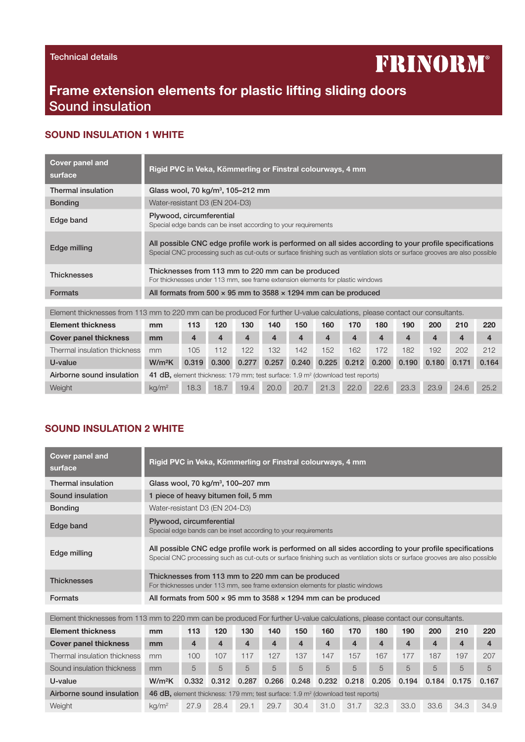# **FRINORM®**

## Frame extension elements for plastic lifting sliding doors Sound insulation

#### SOUND INSULATION 1 WHITE

| <b>Cover panel and</b><br>surface | Rigid PVC in Veka, Kömmerling or Finstral colourways, 4 mm                                                                                                                                                                           |
|-----------------------------------|--------------------------------------------------------------------------------------------------------------------------------------------------------------------------------------------------------------------------------------|
| Thermal insulation                | Glass wool, 70 kg/m <sup>3</sup> , 105-212 mm                                                                                                                                                                                        |
| <b>Bonding</b>                    | Water-resistant D3 (EN 204-D3)                                                                                                                                                                                                       |
| Edge band                         | Plywood, circumferential<br>Special edge bands can be inset according to your requirements                                                                                                                                           |
| Edge milling                      | All possible CNC edge profile work is performed on all sides according to your profile specifications<br>Special CNC processing such as cut-outs or surface finishing such as ventilation slots or surface grooves are also possible |
| <b>Thicknesses</b>                | Thicknesses from 113 mm to 220 mm can be produced<br>For thicknesses under 113 mm, see frame extension elements for plastic windows                                                                                                  |
| <b>Formats</b>                    | All formats from 500 $\times$ 95 mm to 3588 $\times$ 1294 mm can be produced                                                                                                                                                         |
|                                   |                                                                                                                                                                                                                                      |
|                                   | Element thicknesses from 113 mm to 220 mm can be produced For further U-value calculations, please contact our consultants                                                                                                           |

| $\blacksquare$               |                                                                                            |       |       |       |       |       |       |               |      |                         |       |                  |                  |
|------------------------------|--------------------------------------------------------------------------------------------|-------|-------|-------|-------|-------|-------|---------------|------|-------------------------|-------|------------------|------------------|
| <b>Element thickness</b>     | mm                                                                                         | 113   | 120   | 130   | 140   | 150   | 160   | 170           | 180  | 190                     | 200   | 210              | 220              |
| <b>Cover panel thickness</b> | mm                                                                                         | 4     | 4     | 4     | 4     | 4     | 4     | 4             | 4    | $\overline{\mathbf{4}}$ | 4     | $\boldsymbol{4}$ | $\boldsymbol{4}$ |
| Thermal insulation thickness | mm                                                                                         | 105   | 112   | 122   | 132   | 142   | 152   | 162           | 172  | 182                     | 192   | 202              | 212              |
| U-value                      | $W/m^2K$                                                                                   | 0.319 | 0.300 | 0.277 | 0.257 | 0.240 | 0.225 | $0.212$ 0.200 |      | 0.190                   | 0.180 | 0.171            | 0.164            |
| Airborne sound insulation    | 41 dB, element thickness: 179 mm; test surface: 1.9 m <sup>2</sup> (download test reports) |       |       |       |       |       |       |               |      |                         |       |                  |                  |
| Weight                       | $\text{kg}/\text{m}^2$                                                                     | 18.3  | 18.7  | 19.4  | 20.0  | 20.7  | 21.3  | 22.0          | 22.6 | 23.3                    | 23.9  | 24.6             | 25.2             |

### SOUND INSULATION 2 WHITE

| Rigid PVC in Veka, Kömmerling or Finstral colourways, 4 mm                                                                                                                                                                           |
|--------------------------------------------------------------------------------------------------------------------------------------------------------------------------------------------------------------------------------------|
| Glass wool, 70 kg/ $m3$ , 100–207 mm                                                                                                                                                                                                 |
| 1 piece of heavy bitumen foil, 5 mm                                                                                                                                                                                                  |
| Water-resistant D3 (EN 204-D3)                                                                                                                                                                                                       |
| Plywood, circumferential<br>Special edge bands can be inset according to your requirements                                                                                                                                           |
| All possible CNC edge profile work is performed on all sides according to your profile specifications<br>Special CNC processing such as cut-outs or surface finishing such as ventilation slots or surface grooves are also possible |
| Thicknesses from 113 mm to 220 mm can be produced<br>For thicknesses under 113 mm, see frame extension elements for plastic windows                                                                                                  |
| All formats from 500 $\times$ 95 mm to 3588 $\times$ 1294 mm can be produced                                                                                                                                                         |
|                                                                                                                                                                                                                                      |

| Element thicknesses from 113 mm to 220 mm can be produced For further U-value calculations, please contact our consultants. |                                                                                                   |       |       |       |       |       |       |       |                    |       |       |                     |                  |
|-----------------------------------------------------------------------------------------------------------------------------|---------------------------------------------------------------------------------------------------|-------|-------|-------|-------|-------|-------|-------|--------------------|-------|-------|---------------------|------------------|
| <b>Element thickness</b>                                                                                                    | mm                                                                                                | 113   | 120   | 130   | 140   | 150   | 160   | 170   | 180                | 190   | 200   | 210                 | 220              |
| <b>Cover panel thickness</b>                                                                                                | mm                                                                                                | 4     | 4     | 4     | 4     | 4     | 4     | 4     | $\overline{\bf 4}$ | 4     | 4     | $\overline{\bf{4}}$ | $\boldsymbol{4}$ |
| Thermal insulation thickness                                                                                                | mm                                                                                                | 100   | 107   | 117   | 127   | 137   | 147   | 157   | 167                | 177   | 187   | 197                 | 207              |
| Sound insulation thickness                                                                                                  | mm                                                                                                | 5     | 5     | 5     | 5     | 5     | 5     | 5     | 5                  | 5     | 5     | 5                   | $\overline{5}$   |
| U-value                                                                                                                     | W/m <sup>2</sup> K                                                                                | 0.332 | 0.312 | 0.287 | 0.266 | 0.248 | 0.232 | 0.218 | 0.205              | 0.194 | 0.184 | 0.175               | 0.167            |
| Airborne sound insulation                                                                                                   | <b>46 dB,</b> element thickness: 179 mm; test surface: 1.9 m <sup>2</sup> (download test reports) |       |       |       |       |       |       |       |                    |       |       |                     |                  |
| Weight                                                                                                                      | $\text{kg}/\text{m}^2$                                                                            | 27.9  | 28.4  | 29.1  | 29.7  | 30.4  | 31.0  | 31.7  | 32.3               | 33.0  | 33.6  | 34.3                | 34.9             |